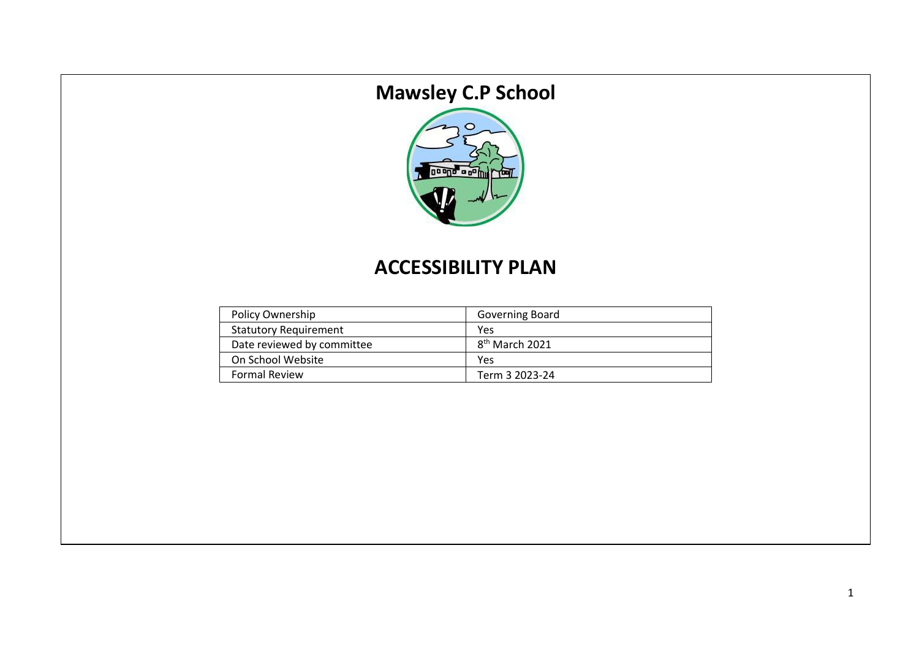# **Mawsley C.P School**



# **ACCESSIBILITY PLAN**

| Policy Ownership             | Governing Board            |
|------------------------------|----------------------------|
| <b>Statutory Requirement</b> | Yes                        |
| Date reviewed by committee   | 8 <sup>th</sup> March 2021 |
| On School Website            | Yes                        |
| <b>Formal Review</b>         | Term 3 2023-24             |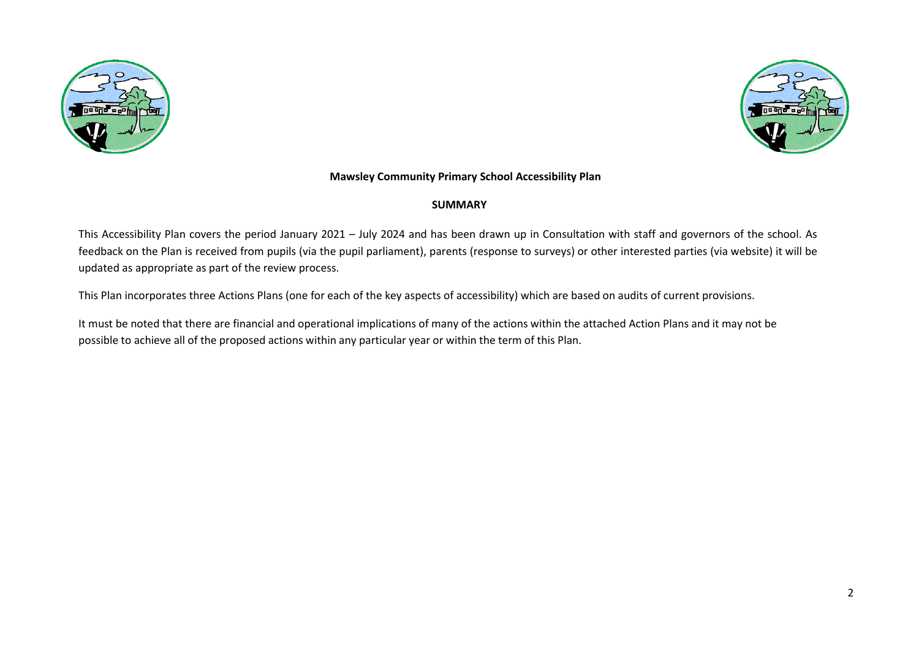



#### **Mawsley Community Primary School Accessibility Plan**

#### **SUMMARY**

This Accessibility Plan covers the period January 2021 – July 2024 and has been drawn up in Consultation with staff and governors of the school. As feedback on the Plan is received from pupils (via the pupil parliament), parents (response to surveys) or other interested parties (via website) it will be updated as appropriate as part of the review process.

This Plan incorporates three Actions Plans (one for each of the key aspects of accessibility) which are based on audits of current provisions.

It must be noted that there are financial and operational implications of many of the actions within the attached Action Plans and it may not be possible to achieve all of the proposed actions within any particular year or within the term of this Plan.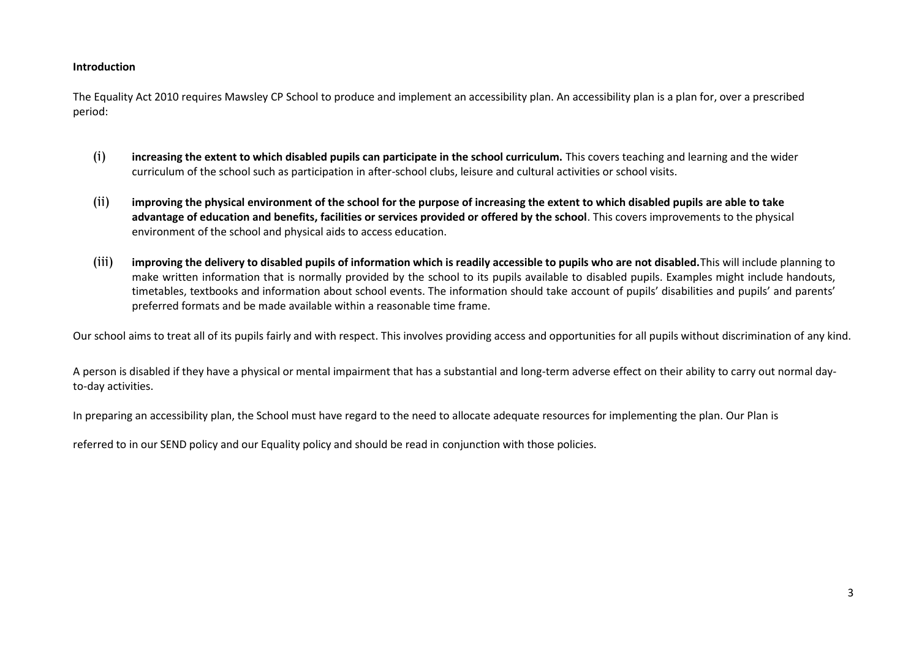#### **Introduction**

The Equality Act 2010 requires Mawsley CP School to produce and implement an accessibility plan. An accessibility plan is a plan for, over a prescribed period:

- (i) **increasing the extent to which disabled pupils can participate in the school curriculum.** This covers teaching and learning and the wider curriculum of the school such as participation in after-school clubs, leisure and cultural activities or school visits.
- (ii) **improving the physical environment of the school for the purpose of increasing the extent to which disabled pupils are able to take advantage of education and benefits, facilities or services provided or offered by the school**. This covers improvements to the physical environment of the school and physical aids to access education.
- (iii) **improving the delivery to disabled pupils of information which is readily accessible to pupils who are not disabled.**This will include planning to make written information that is normally provided by the school to its pupils available to disabled pupils. Examples might include handouts, timetables, textbooks and information about school events. The information should take account of pupils' disabilities and pupils' and parents' preferred formats and be made available within a reasonable time frame.

Our school aims to treat all of its pupils fairly and with respect. This involves providing access and opportunities for all pupils without discrimination of any kind.

A person is disabled if they have a physical or mental impairment that has a substantial and long-term adverse effect on their ability to carry out normal dayto-day activities.

In preparing an accessibility plan, the School must have regard to the need to allocate adequate resources for implementing the plan. Our Plan is

referred to in our SEND policy and our Equality policy and should be read in conjunction with those policies.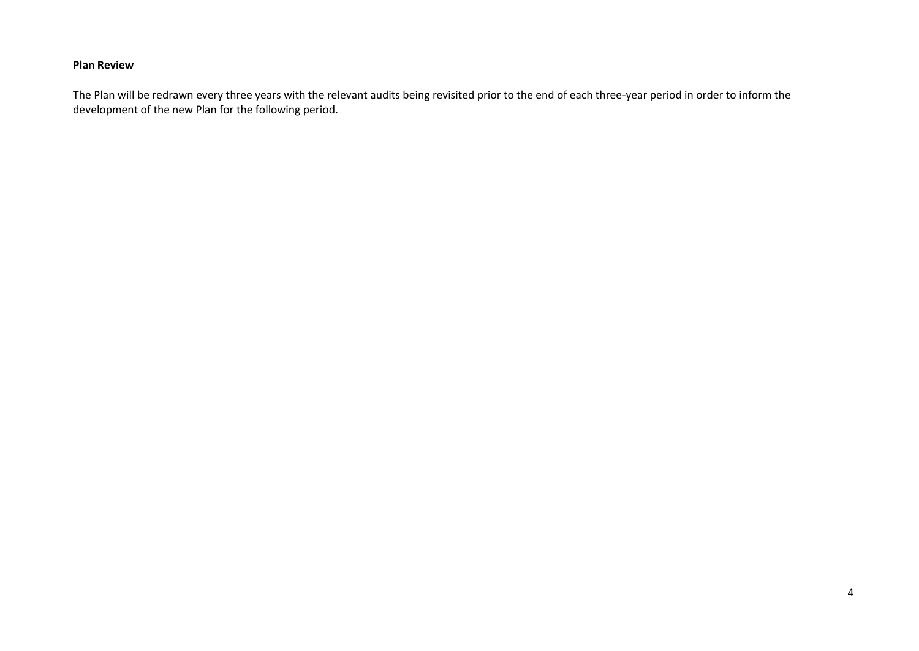#### **Plan Review**

The Plan will be redrawn every three years with the relevant audits being revisited prior to the end of each three-year period in order to inform the development of the new Plan for the following period.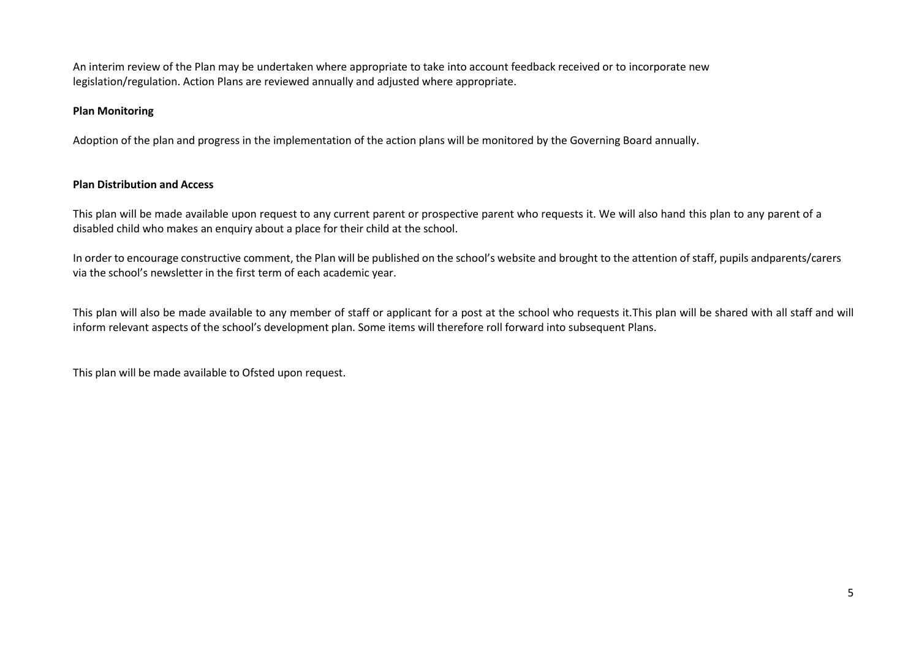An interim review of the Plan may be undertaken where appropriate to take into account feedback received or to incorporate new legislation/regulation. Action Plans are reviewed annually and adjusted where appropriate.

#### **Plan Monitoring**

Adoption of the plan and progress in the implementation of the action plans will be monitored by the Governing Board annually.

#### **Plan Distribution and Access**

This plan will be made available upon request to any current parent or prospective parent who requests it. We will also hand this plan to any parent of a disabled child who makes an enquiry about a place for their child at the school.

In order to encourage constructive comment, the Plan will be published on the school's website and brought to the attention of staff, pupils andparents/carers via the school's newsletter in the first term of each academic year.

This plan will also be made available to any member of staff or applicant for a post at the school who requests it.This plan will be shared with all staff and will inform relevant aspects of the school's development plan. Some items will therefore roll forward into subsequent Plans.

This plan will be made available to Ofsted upon request.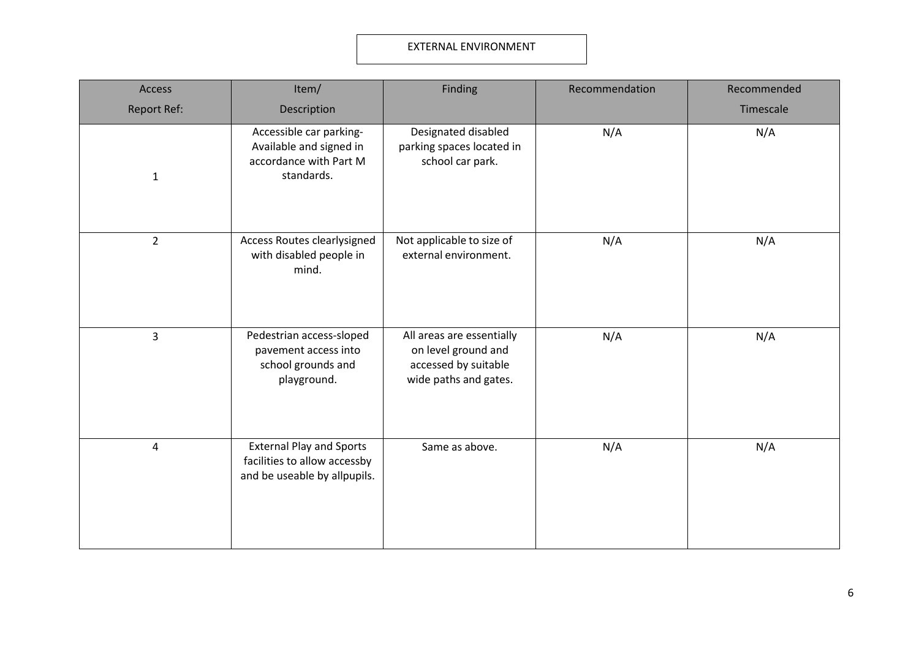#### EXTERNAL ENVIRONMENT

| Access             | Item/                                                                                           | Finding                                                                                           | Recommendation | Recommended |
|--------------------|-------------------------------------------------------------------------------------------------|---------------------------------------------------------------------------------------------------|----------------|-------------|
| <b>Report Ref:</b> | Description                                                                                     |                                                                                                   |                | Timescale   |
| $\mathbf{1}$       | Accessible car parking-<br>Available and signed in<br>accordance with Part M<br>standards.      | Designated disabled<br>parking spaces located in<br>school car park.                              | N/A            | N/A         |
| $\overline{2}$     | Access Routes clearlysigned<br>with disabled people in<br>mind.                                 | Not applicable to size of<br>external environment.                                                | N/A            | N/A         |
| $\overline{3}$     | Pedestrian access-sloped<br>pavement access into<br>school grounds and<br>playground.           | All areas are essentially<br>on level ground and<br>accessed by suitable<br>wide paths and gates. | N/A            | N/A         |
| $\overline{4}$     | <b>External Play and Sports</b><br>facilities to allow accessby<br>and be useable by allpupils. | Same as above.                                                                                    | N/A            | N/A         |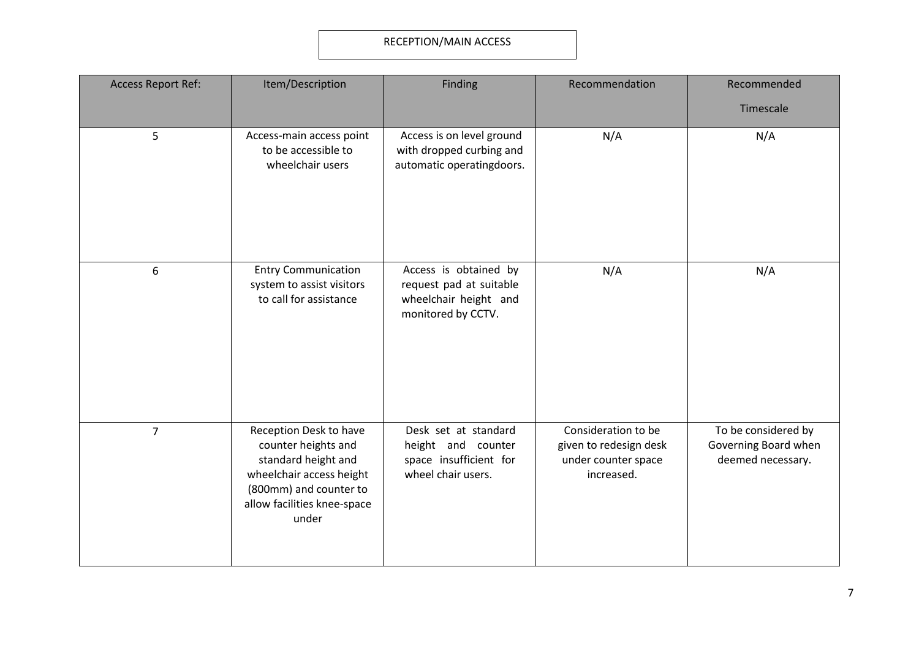# RECEPTION/MAIN ACCESS

| <b>Access Report Ref:</b> | Item/Description                                                                                                                                                   | Finding                                                                                         | Recommendation                                                                     | Recommended                                                      |
|---------------------------|--------------------------------------------------------------------------------------------------------------------------------------------------------------------|-------------------------------------------------------------------------------------------------|------------------------------------------------------------------------------------|------------------------------------------------------------------|
|                           |                                                                                                                                                                    |                                                                                                 |                                                                                    | Timescale                                                        |
| 5                         | Access-main access point<br>to be accessible to<br>wheelchair users                                                                                                | Access is on level ground<br>with dropped curbing and<br>automatic operatingdoors.              | N/A                                                                                | N/A                                                              |
| 6                         | <b>Entry Communication</b><br>system to assist visitors<br>to call for assistance                                                                                  | Access is obtained by<br>request pad at suitable<br>wheelchair height and<br>monitored by CCTV. | N/A                                                                                | N/A                                                              |
| $\overline{7}$            | Reception Desk to have<br>counter heights and<br>standard height and<br>wheelchair access height<br>(800mm) and counter to<br>allow facilities knee-space<br>under | Desk set at standard<br>height and counter<br>space insufficient for<br>wheel chair users.      | Consideration to be<br>given to redesign desk<br>under counter space<br>increased. | To be considered by<br>Governing Board when<br>deemed necessary. |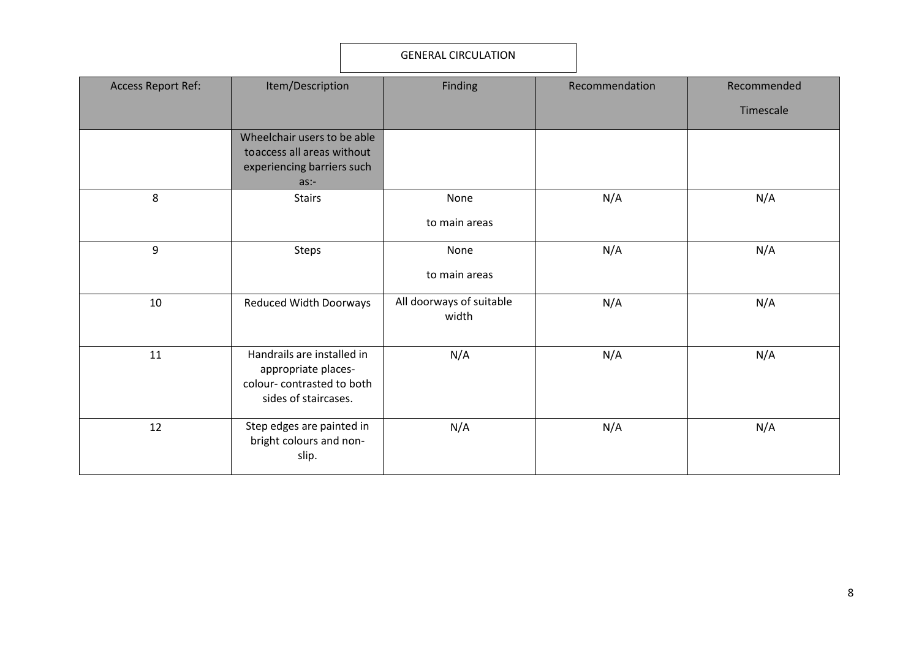#### GENERAL CIRCULATION

| <b>Access Report Ref:</b> | Item/Description                                                                                       | Finding                           | Recommendation | Recommended |
|---------------------------|--------------------------------------------------------------------------------------------------------|-----------------------------------|----------------|-------------|
|                           |                                                                                                        |                                   |                | Timescale   |
|                           | Wheelchair users to be able<br>toaccess all areas without<br>experiencing barriers such<br>as:         |                                   |                |             |
| 8                         | <b>Stairs</b>                                                                                          | None<br>to main areas             | N/A            | N/A         |
| 9                         | Steps                                                                                                  | None<br>to main areas             | N/A            | N/A         |
| 10                        | <b>Reduced Width Doorways</b>                                                                          | All doorways of suitable<br>width | N/A            | N/A         |
| 11                        | Handrails are installed in<br>appropriate places-<br>colour-contrasted to both<br>sides of staircases. | N/A                               | N/A            | N/A         |
| 12                        | Step edges are painted in<br>bright colours and non-<br>slip.                                          | N/A                               | N/A            | N/A         |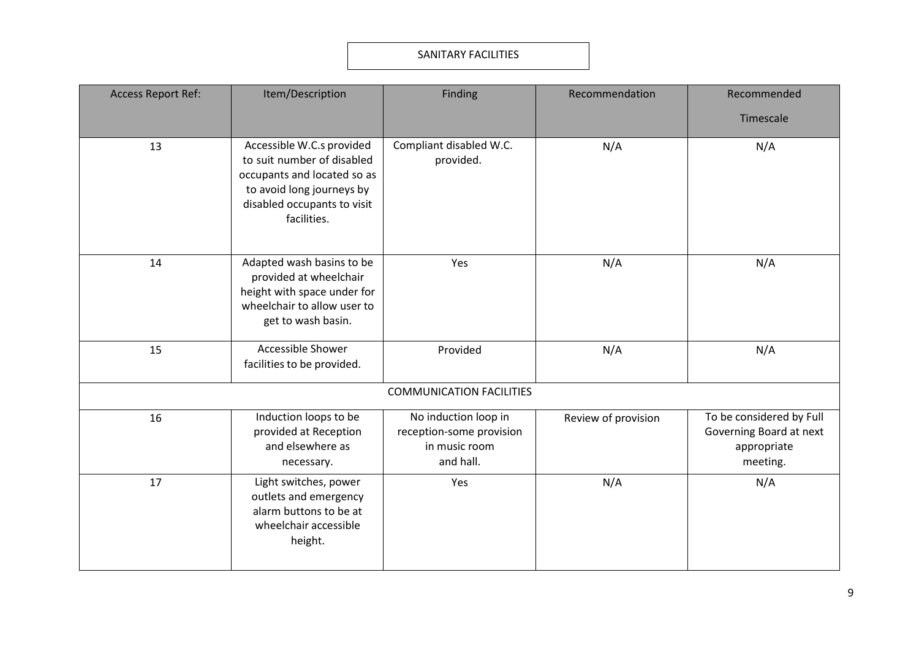#### SANITARY FACILITIES

| <b>Access Report Ref:</b> | Item/Description                                                                                                                                                  | Finding                                                                        | Recommendation      | Recommended                                                                    |
|---------------------------|-------------------------------------------------------------------------------------------------------------------------------------------------------------------|--------------------------------------------------------------------------------|---------------------|--------------------------------------------------------------------------------|
|                           |                                                                                                                                                                   |                                                                                |                     | Timescale                                                                      |
| 13                        | Accessible W.C.s provided<br>to suit number of disabled<br>occupants and located so as<br>to avoid long journeys by<br>disabled occupants to visit<br>facilities. | Compliant disabled W.C.<br>provided.                                           | N/A                 | N/A                                                                            |
| 14                        | Adapted wash basins to be<br>provided at wheelchair<br>height with space under for<br>wheelchair to allow user to<br>get to wash basin.                           | Yes                                                                            | N/A                 | N/A                                                                            |
| 15                        | Accessible Shower<br>facilities to be provided.                                                                                                                   | Provided                                                                       | N/A                 | N/A                                                                            |
|                           |                                                                                                                                                                   | <b>COMMUNICATION FACILITIES</b>                                                |                     |                                                                                |
| 16                        | Induction loops to be<br>provided at Reception<br>and elsewhere as<br>necessary.                                                                                  | No induction loop in<br>reception-some provision<br>in music room<br>and hall. | Review of provision | To be considered by Full<br>Governing Board at next<br>appropriate<br>meeting. |
| 17                        | Light switches, power<br>outlets and emergency<br>alarm buttons to be at<br>wheelchair accessible<br>height.                                                      | Yes                                                                            | N/A                 | N/A                                                                            |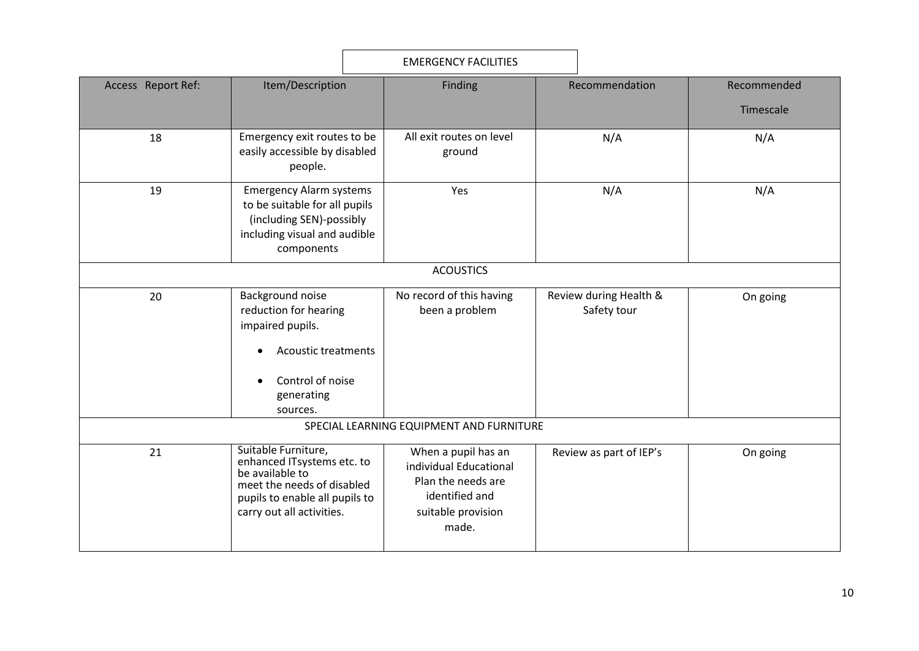|                                          | <b>EMERGENCY FACILITIES</b>                                                                                                                                       |  |                                                                                                                      |     |                                       |             |  |  |
|------------------------------------------|-------------------------------------------------------------------------------------------------------------------------------------------------------------------|--|----------------------------------------------------------------------------------------------------------------------|-----|---------------------------------------|-------------|--|--|
| Access Report Ref:                       | Item/Description                                                                                                                                                  |  | Finding                                                                                                              |     | Recommendation                        | Recommended |  |  |
|                                          |                                                                                                                                                                   |  |                                                                                                                      |     |                                       | Timescale   |  |  |
| 18                                       | Emergency exit routes to be<br>easily accessible by disabled<br>people.                                                                                           |  | All exit routes on level<br>ground                                                                                   | N/A |                                       | N/A         |  |  |
| 19                                       | <b>Emergency Alarm systems</b><br>to be suitable for all pupils<br>(including SEN)-possibly<br>including visual and audible<br>components                         |  | Yes                                                                                                                  | N/A |                                       | N/A         |  |  |
|                                          |                                                                                                                                                                   |  | <b>ACOUSTICS</b>                                                                                                     |     |                                       |             |  |  |
| 20                                       | Background noise<br>reduction for hearing<br>impaired pupils.<br>Acoustic treatments<br>Control of noise<br>generating<br>sources.                                |  | No record of this having<br>been a problem                                                                           |     | Review during Health &<br>Safety tour | On going    |  |  |
| SPECIAL LEARNING EQUIPMENT AND FURNITURE |                                                                                                                                                                   |  |                                                                                                                      |     |                                       |             |  |  |
| 21                                       | Suitable Furniture,<br>enhanced ITsystems etc. to<br>be available to<br>meet the needs of disabled<br>pupils to enable all pupils to<br>carry out all activities. |  | When a pupil has an<br>individual Educational<br>Plan the needs are<br>identified and<br>suitable provision<br>made. |     | Review as part of IEP's               | On going    |  |  |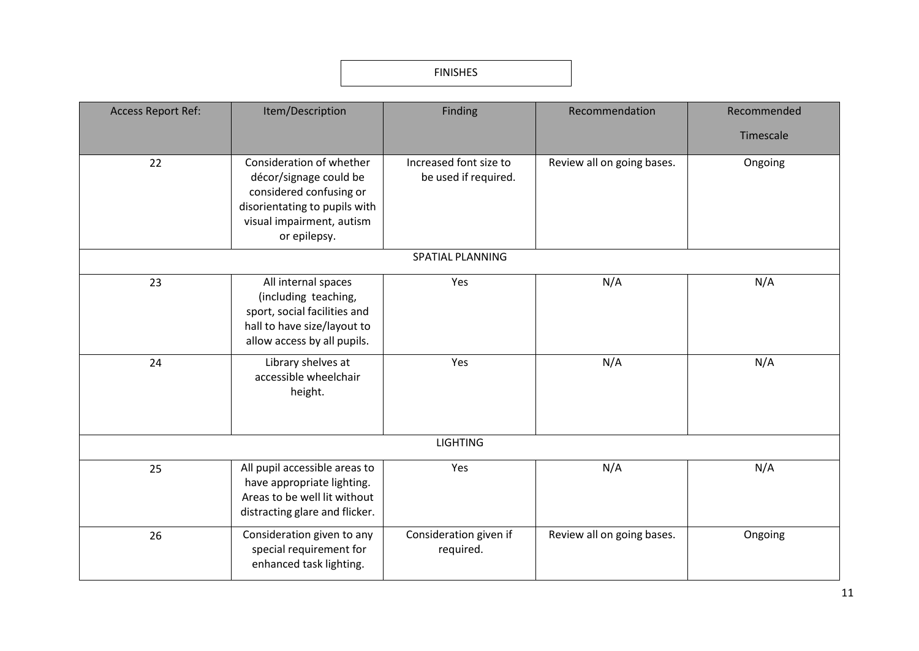### FINISHES

| <b>Access Report Ref:</b> | Item/Description                                                                                                                                            | Finding                                        | Recommendation             | Recommended |
|---------------------------|-------------------------------------------------------------------------------------------------------------------------------------------------------------|------------------------------------------------|----------------------------|-------------|
|                           |                                                                                                                                                             |                                                |                            | Timescale   |
| 22                        | Consideration of whether<br>décor/signage could be<br>considered confusing or<br>disorientating to pupils with<br>visual impairment, autism<br>or epilepsy. | Increased font size to<br>be used if required. | Review all on going bases. | Ongoing     |
|                           |                                                                                                                                                             | <b>SPATIAL PLANNING</b>                        |                            |             |
| 23                        | All internal spaces<br>(including teaching,<br>sport, social facilities and<br>hall to have size/layout to<br>allow access by all pupils.                   | Yes                                            | N/A                        | N/A         |
| 24                        | Library shelves at<br>accessible wheelchair<br>height.                                                                                                      | Yes                                            | N/A                        | N/A         |
|                           |                                                                                                                                                             | <b>LIGHTING</b>                                |                            |             |
| 25                        | All pupil accessible areas to<br>have appropriate lighting.<br>Areas to be well lit without<br>distracting glare and flicker.                               | Yes                                            | N/A                        | N/A         |
| 26                        | Consideration given to any<br>special requirement for<br>enhanced task lighting.                                                                            | Consideration given if<br>required.            | Review all on going bases. | Ongoing     |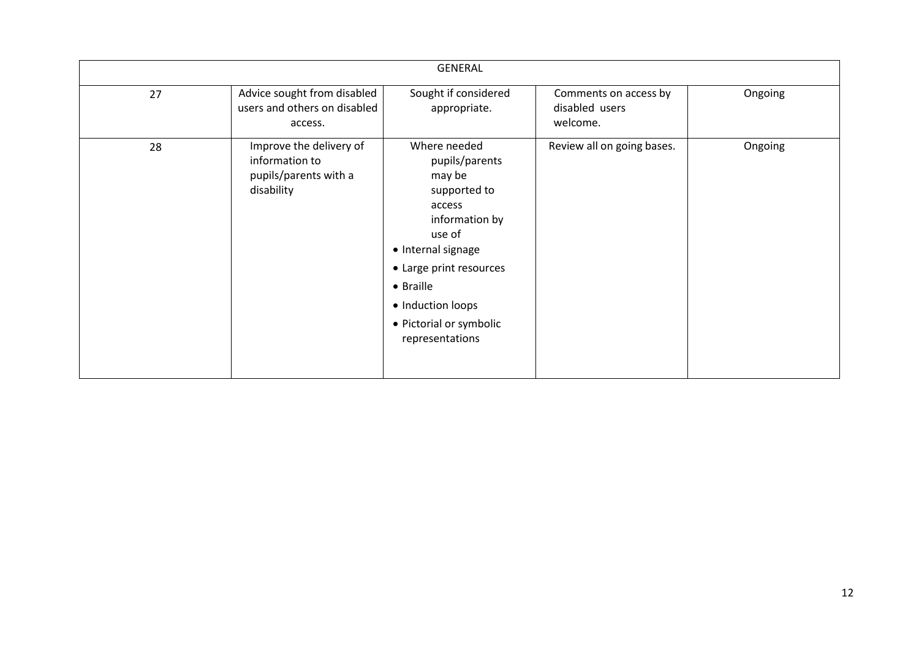|    |                                                                                  | <b>GENERAL</b>                                                                                                                                                                                                                  |                                                     |         |
|----|----------------------------------------------------------------------------------|---------------------------------------------------------------------------------------------------------------------------------------------------------------------------------------------------------------------------------|-----------------------------------------------------|---------|
| 27 | Advice sought from disabled<br>users and others on disabled<br>access.           | Sought if considered<br>appropriate.                                                                                                                                                                                            | Comments on access by<br>disabled users<br>welcome. | Ongoing |
| 28 | Improve the delivery of<br>information to<br>pupils/parents with a<br>disability | Where needed<br>pupils/parents<br>may be<br>supported to<br>access<br>information by<br>use of<br>• Internal signage<br>• Large print resources<br>• Braille<br>• Induction loops<br>• Pictorial or symbolic<br>representations | Review all on going bases.                          | Ongoing |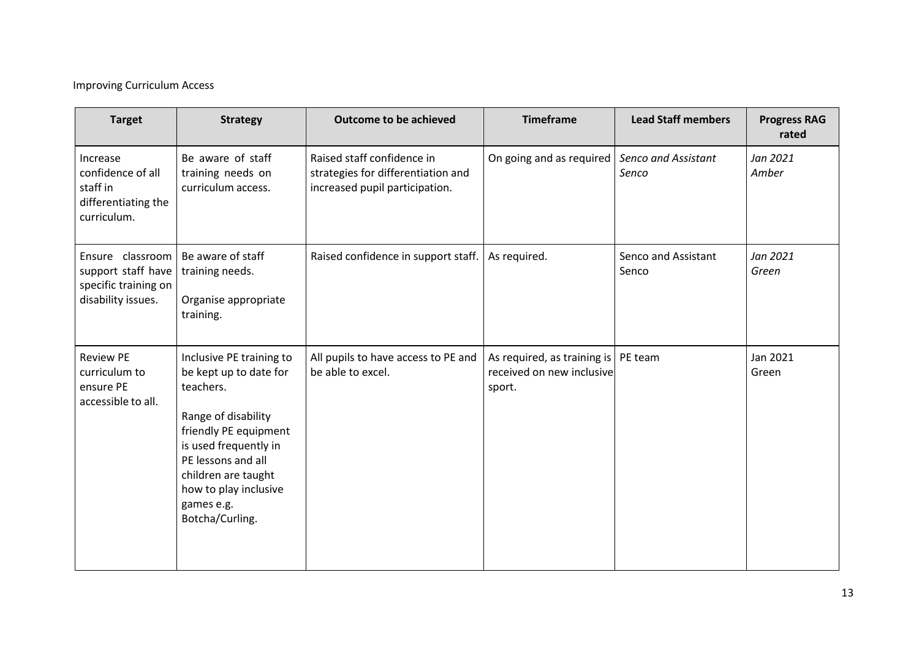# Improving Curriculum Access

| <b>Target</b>                                                                        | <b>Strategy</b>                                                                                                                                                                                                                                 | Outcome to be achieved                                                                             | <b>Timeframe</b>                                                             | <b>Lead Staff members</b>    | <b>Progress RAG</b><br>rated |
|--------------------------------------------------------------------------------------|-------------------------------------------------------------------------------------------------------------------------------------------------------------------------------------------------------------------------------------------------|----------------------------------------------------------------------------------------------------|------------------------------------------------------------------------------|------------------------------|------------------------------|
| Increase<br>confidence of all<br>staff in<br>differentiating the<br>curriculum.      | Be aware of staff<br>training needs on<br>curriculum access.                                                                                                                                                                                    | Raised staff confidence in<br>strategies for differentiation and<br>increased pupil participation. | On going and as required                                                     | Senco and Assistant<br>Senco | Jan 2021<br>Amber            |
| Ensure classroom<br>support staff have<br>specific training on<br>disability issues. | Be aware of staff<br>training needs.<br>Organise appropriate<br>training.                                                                                                                                                                       | Raised confidence in support staff.                                                                | As required.                                                                 | Senco and Assistant<br>Senco | Jan 2021<br>Green            |
| <b>Review PE</b><br>curriculum to<br>ensure PE<br>accessible to all.                 | Inclusive PE training to<br>be kept up to date for<br>teachers.<br>Range of disability<br>friendly PE equipment<br>is used frequently in<br>PE lessons and all<br>children are taught<br>how to play inclusive<br>games e.g.<br>Botcha/Curling. | All pupils to have access to PE and<br>be able to excel.                                           | As required, as training is   PE team<br>received on new inclusive<br>sport. |                              | Jan 2021<br>Green            |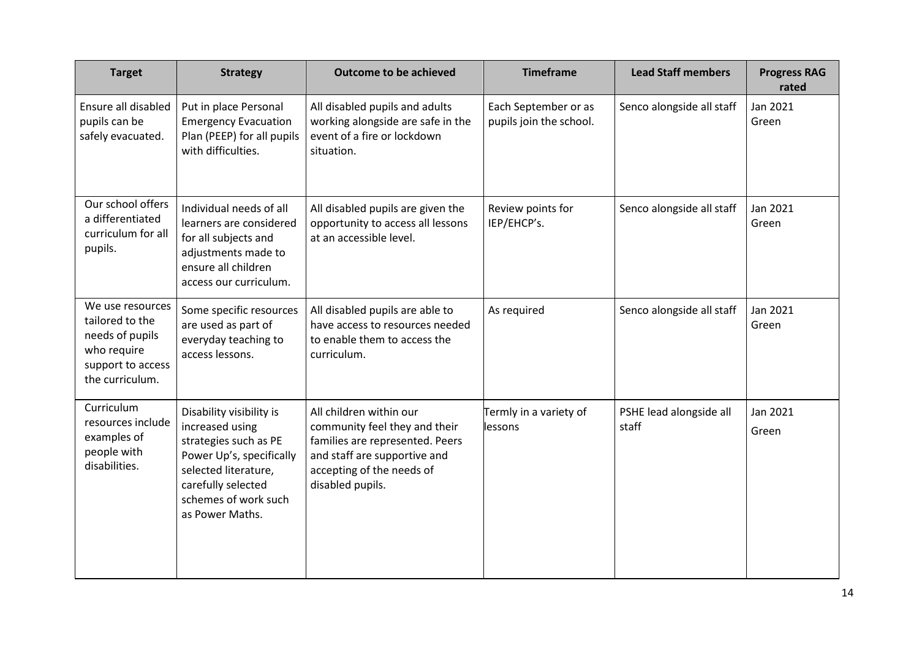| <b>Target</b>                                                                                                 | <b>Strategy</b>                                                                                                                                                                           | Outcome to be achieved                                                                                                                                                       | <b>Timeframe</b>                                | <b>Lead Staff members</b>        | <b>Progress RAG</b><br>rated |
|---------------------------------------------------------------------------------------------------------------|-------------------------------------------------------------------------------------------------------------------------------------------------------------------------------------------|------------------------------------------------------------------------------------------------------------------------------------------------------------------------------|-------------------------------------------------|----------------------------------|------------------------------|
| Ensure all disabled<br>pupils can be<br>safely evacuated.                                                     | Put in place Personal<br><b>Emergency Evacuation</b><br>Plan (PEEP) for all pupils<br>with difficulties.                                                                                  | All disabled pupils and adults<br>working alongside are safe in the<br>event of a fire or lockdown<br>situation.                                                             | Each September or as<br>pupils join the school. | Senco alongside all staff        | Jan 2021<br>Green            |
| Our school offers<br>a differentiated<br>curriculum for all<br>pupils.                                        | Individual needs of all<br>learners are considered<br>for all subjects and<br>adjustments made to<br>ensure all children<br>access our curriculum.                                        | All disabled pupils are given the<br>opportunity to access all lessons<br>at an accessible level.                                                                            | Review points for<br>IEP/EHCP's.                | Senco alongside all staff        | Jan 2021<br>Green            |
| We use resources<br>tailored to the<br>needs of pupils<br>who require<br>support to access<br>the curriculum. | Some specific resources<br>are used as part of<br>everyday teaching to<br>access lessons.                                                                                                 | All disabled pupils are able to<br>have access to resources needed<br>to enable them to access the<br>curriculum.                                                            | As required                                     | Senco alongside all staff        | Jan 2021<br>Green            |
| Curriculum<br>resources include<br>examples of<br>people with<br>disabilities.                                | Disability visibility is<br>increased using<br>strategies such as PE<br>Power Up's, specifically<br>selected literature,<br>carefully selected<br>schemes of work such<br>as Power Maths. | All children within our<br>community feel they and their<br>families are represented. Peers<br>and staff are supportive and<br>accepting of the needs of<br>disabled pupils. | Termly in a variety of<br>lessons               | PSHE lead alongside all<br>staff | Jan 2021<br>Green            |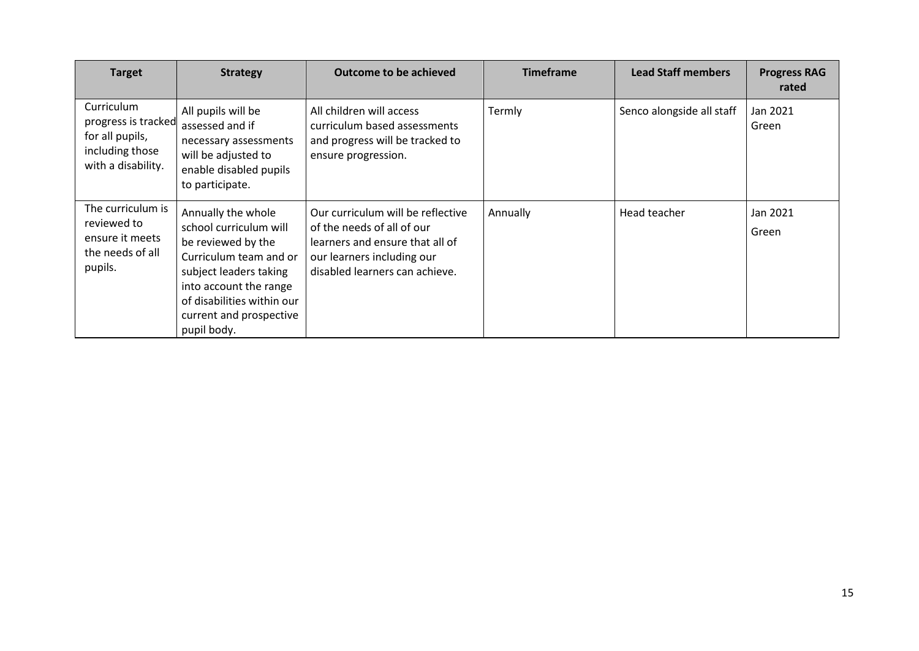| <b>Target</b>                                                                                 | <b>Strategy</b>                                                                                                                                                                                                          | <b>Outcome to be achieved</b>                                                                                                                                      | <b>Timeframe</b> | <b>Lead Staff members</b> | <b>Progress RAG</b><br>rated |
|-----------------------------------------------------------------------------------------------|--------------------------------------------------------------------------------------------------------------------------------------------------------------------------------------------------------------------------|--------------------------------------------------------------------------------------------------------------------------------------------------------------------|------------------|---------------------------|------------------------------|
| Curriculum<br>progress is tracked<br>for all pupils,<br>including those<br>with a disability. | All pupils will be<br>assessed and if<br>necessary assessments<br>will be adjusted to<br>enable disabled pupils<br>to participate.                                                                                       | All children will access<br>curriculum based assessments<br>and progress will be tracked to<br>ensure progression.                                                 | Termly           | Senco alongside all staff | Jan 2021<br>Green            |
| The curriculum is<br>reviewed to<br>ensure it meets<br>the needs of all<br>pupils.            | Annually the whole<br>school curriculum will<br>be reviewed by the<br>Curriculum team and or<br>subject leaders taking<br>into account the range<br>of disabilities within our<br>current and prospective<br>pupil body. | Our curriculum will be reflective<br>of the needs of all of our<br>learners and ensure that all of<br>our learners including our<br>disabled learners can achieve. | Annually         | Head teacher              | Jan 2021<br>Green            |